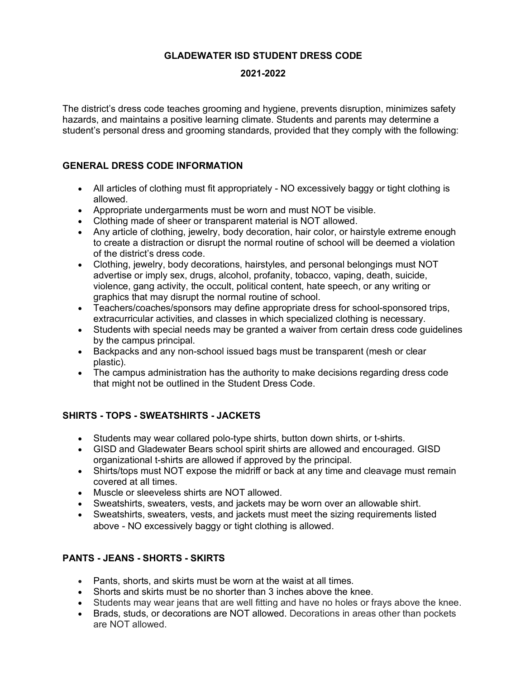## **GLADEWATER ISD STUDENT DRESS CODE**

### **2021-2022**

The district's dress code teaches grooming and hygiene, prevents disruption, minimizes safety hazards, and maintains a positive learning climate. Students and parents may determine a student's personal dress and grooming standards, provided that they comply with the following:

### **GENERAL DRESS CODE INFORMATION**

- All articles of clothing must fit appropriately NO excessively baggy or tight clothing is allowed.
- Appropriate undergarments must be worn and must NOT be visible.
- Clothing made of sheer or transparent material is NOT allowed.
- Any article of clothing, jewelry, body decoration, hair color, or hairstyle extreme enough to create a distraction or disrupt the normal routine of school will be deemed a violation of the district's dress code.
- Clothing, jewelry, body decorations, hairstyles, and personal belongings must NOT advertise or imply sex, drugs, alcohol, profanity, tobacco, vaping, death, suicide, violence, gang activity, the occult, political content, hate speech, or any writing or graphics that may disrupt the normal routine of school.
- Teachers/coaches/sponsors may define appropriate dress for school-sponsored trips, extracurricular activities, and classes in which specialized clothing is necessary.
- Students with special needs may be granted a waiver from certain dress code guidelines by the campus principal.
- Backpacks and any non-school issued bags must be transparent (mesh or clear plastic).
- The campus administration has the authority to make decisions regarding dress code that might not be outlined in the Student Dress Code.

# **SHIRTS - TOPS - SWEATSHIRTS - JACKETS**

- Students may wear collared polo-type shirts, button down shirts, or t-shirts.
- GISD and Gladewater Bears school spirit shirts are allowed and encouraged. GISD organizational t-shirts are allowed if approved by the principal.
- Shirts/tops must NOT expose the midriff or back at any time and cleavage must remain covered at all times.
- Muscle or sleeveless shirts are NOT allowed.
- Sweatshirts, sweaters, vests, and jackets may be worn over an allowable shirt.
- Sweatshirts, sweaters, vests, and jackets must meet the sizing requirements listed above - NO excessively baggy or tight clothing is allowed.

# **PANTS - JEANS - SHORTS - SKIRTS**

- Pants, shorts, and skirts must be worn at the waist at all times.
- Shorts and skirts must be no shorter than 3 inches above the knee.
- Students may wear jeans that are well fitting and have no holes or frays above the knee.
- Brads, studs, or decorations are NOT allowed. Decorations in areas other than pockets are NOT allowed.